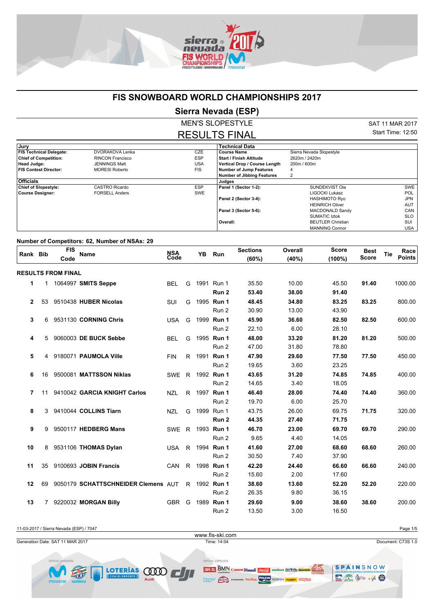

### **FIS SNOWBOARD WORLD CHAMPIONSHIPS 2017**

# **Sierra Nevada (ESP)**

MEN'S SLOPESTYLE RESULTS FINAL

SAT 11 MAR 2017 Start Time: 12:50

| , Jury                         |                       |            | <b>Technical Data</b>             |                          |            |
|--------------------------------|-----------------------|------------|-----------------------------------|--------------------------|------------|
|                                |                       |            |                                   |                          |            |
| <b>FIS Technical Delegate:</b> | DVORAKOVA Lenka       | CZE        | <b>Course Name</b>                | Sierra Nevada Slopestyle |            |
| <b>Chief of Competition:</b>   | RINCON Francisco      | <b>ESP</b> | <b>Start / Finish Altitude</b>    | 2620m / 2420m            |            |
| <b>Head Judge:</b>             | JENNINGS Matt         | <b>USA</b> | Vertical Drop / Course Length     | 200m / 600m              |            |
| FIS Contest Director:          | <b>MORESI Roberto</b> | <b>FIS</b> | <b>Number of Jump Features</b>    | 4                        |            |
|                                |                       |            | <b>Number of Jibbing Features</b> |                          |            |
| <b>Officials</b>               |                       |            | Judges                            |                          |            |
| Chief of Slopestyle:           | CASTRO Ricardo        | <b>ESP</b> | Panel 1 (Sector 1-2):             | SUNDEKVIST Ola           | SWE        |
| Course Designer:               | <b>FORSELL Anders</b> | SWE        |                                   | LIGOCKI Lukasz           | <b>POL</b> |
|                                |                       |            | Panel 2 (Sector 3-4):             | <b>HASHIMOTO Ryo</b>     | JPN        |
|                                |                       |            |                                   | <b>HEINRICH Oliver</b>   | AUT        |
|                                |                       |            | Panel 3 (Sector 5-6):             | MACDONALD Sandy          | CAN        |
|                                |                       |            |                                   | <b>SUMATIC Iztok</b>     | <b>SLO</b> |
|                                |                       |            | Overall:                          | <b>BEUTLER Christian</b> | SUI        |
|                                |                       |            |                                   | <b>MANNING Connor</b>    | USA        |

#### **Number of Competitors: 62, Number of NSAs: 29**

| Rank Bib     |    | <b>FIS</b>                | <b>Name</b>                         |                    |              | <b>YB</b> | Run              | <b>Sections</b> | Overall | <b>Score</b> | <b>Best</b>  | Race<br><b>Tie</b> |
|--------------|----|---------------------------|-------------------------------------|--------------------|--------------|-----------|------------------|-----------------|---------|--------------|--------------|--------------------|
|              |    | Code                      |                                     | <b>NSA</b><br>Code |              |           |                  | (60%)           | (40%)   | $(100\%)$    | <b>Score</b> | <b>Points</b>      |
|              |    | <b>RESULTS FROM FINAL</b> |                                     |                    |              |           |                  |                 |         |              |              |                    |
| 1            | 1  |                           | 1064997 SMITS Seppe                 | <b>BEL</b>         | G            |           | 1991 Run 1       | 35.50           | 10.00   | 45.50        | 91.40        | 1000.00            |
|              |    |                           |                                     |                    |              |           | Run <sub>2</sub> | 53.40           | 38.00   | 91.40        |              |                    |
| $\mathbf{2}$ | 53 |                           | 9510438 HUBER Nicolas               | SUI                | G            |           | 1995 Run 1       | 48.45           | 34.80   | 83.25        | 83.25        | 800.00             |
|              |    |                           |                                     |                    |              |           | Run 2            | 30.90           | 13.00   | 43.90        |              |                    |
| 3            | 6  |                           | 9531130 CORNING Chris               | <b>USA</b>         | G            | 1999      | Run 1            | 45.90           | 36.60   | 82.50        | 82.50        | 600.00             |
|              |    |                           |                                     |                    |              |           | Run 2            | 22.10           | 6.00    | 28.10        |              |                    |
| 4            | 5  |                           | 9060003 DE BUCK Sebbe               | <b>BEL</b>         | G            |           | 1995 Run 1       | 48.00           | 33.20   | 81.20        | 81.20        | 500.00             |
|              |    |                           |                                     |                    |              |           | Run 2            | 47.00           | 31.80   | 78.80        |              |                    |
| 5            | 4  |                           | 9180071 PAUMOLA Ville               | <b>FIN</b>         | R.           |           | 1991 Run 1       | 47.90           | 29.60   | 77.50        | 77.50        | 450.00             |
|              |    |                           |                                     |                    |              |           | Run 2            | 19.65           | 3.60    | 23.25        |              |                    |
| 6            | 16 |                           | 9500081 MATTSSON Niklas             | <b>SWE</b>         | R.           |           | 1992 Run 1       | 43.65           | 31.20   | 74.85        | 74.85        | 400.00             |
|              |    |                           |                                     |                    |              |           | Run 2            | 14.65           | 3.40    | 18.05        |              |                    |
| 7            | 11 |                           | 9410042 GARCIA KNIGHT Carlos        | <b>NZL</b>         | R.           |           | 1997 Run 1       | 46.40           | 28.00   | 74.40        | 74.40        | 360.00             |
|              |    |                           |                                     |                    |              |           | Run 2            | 19.70           | 6.00    | 25.70        |              |                    |
| 8            | 3  |                           | 9410044 COLLINS Tiarn               | <b>NZL</b>         | G            |           | 1999 Run 1       | 43.75           | 26.00   | 69.75        | 71.75        | 320.00             |
|              |    |                           |                                     |                    |              |           | Run <sub>2</sub> | 44.35           | 27.40   | 71.75        |              |                    |
| 9            | 9  |                           | 9500117 HEDBERG Mans                | SWE                | $\mathsf{R}$ |           | 1993 Run 1       | 46.70           | 23.00   | 69.70        | 69.70        | 290.00             |
|              |    |                           |                                     |                    |              |           | Run 2            | 9.65            | 4.40    | 14.05        |              |                    |
| 10           | 8  |                           | 9531106 THOMAS Dylan                | <b>USA</b>         | R.           | 1994      | Run 1            | 41.60           | 27.00   | 68.60        | 68.60        | 260.00             |
|              |    |                           |                                     |                    |              |           | Run 2            | 30.50           | 7.40    | 37.90        |              |                    |
| 11           | 35 |                           | 9100693 JOBIN Francis               | <b>CAN</b>         | R.           |           | 1998 Run 1       | 42.20           | 24.40   | 66.60        | 66.60        | 240.00             |
|              |    |                           |                                     |                    |              |           | Run 2            | 15.60           | 2.00    | 17.60        |              |                    |
| 12           | 69 |                           | 9050179 SCHATTSCHNEIDER Clemens AUT |                    |              |           | R 1992 Run 1     | 38.60           | 13.60   | 52.20        | 52.20        | 220.00             |
|              |    |                           |                                     |                    |              |           | Run 2            | 26.35           | 9.80    | 36.15        |              |                    |
| 13           | 7  |                           | 9220032 MORGAN Billy                | <b>GBR</b>         | G            |           | 1989 Run 1       | 29.60           | 9.00    | 38.60        | 38.60        | 200.00             |
|              |    |                           |                                     |                    |              |           | Run 2            | 13.50           | 3.00    | 16.50        |              |                    |

11-03-2017 / Sierra Nevada (ESP) / 7047 Page 1/5 www.fis-ski.comGeneration Date: SAT 11 MAR 2017 Time: 14:04 Document: C73S 1.0 OFFICIAL SUPPLIERS: SPAINSNOW 2SIS: BMN Canon Casti *Coule Coviran DAR 2b. Capadales* 2023 LOTERÍAS **COD** ERV- 16  $\frac{1}{2}$ PULEVA SKIDATA **THE Howley** Celephane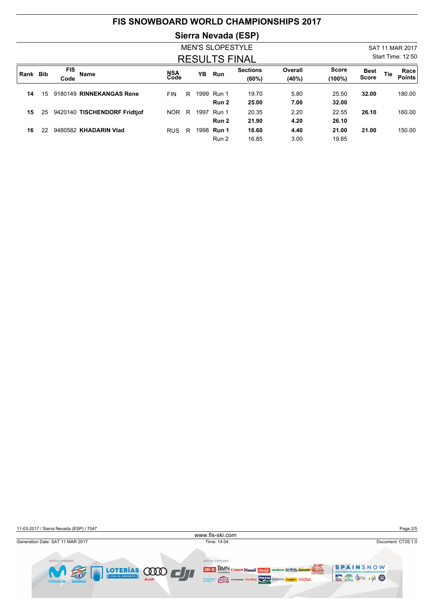|          |    |                    | <b>FIS SNOWBOARD WORLD CHAMPIONSHIPS 2017</b> |             |   |      |                         |                          |                  |                           |                             |     |                          |
|----------|----|--------------------|-----------------------------------------------|-------------|---|------|-------------------------|--------------------------|------------------|---------------------------|-----------------------------|-----|--------------------------|
|          |    |                    |                                               |             |   |      |                         | Sierra Nevada (ESP)      |                  |                           |                             |     |                          |
|          |    |                    |                                               |             |   |      | <b>MEN'S SLOPESTYLE</b> |                          |                  |                           |                             |     | SAT 11 MAR 2017          |
|          |    |                    |                                               |             |   |      |                         | <b>RESULTS FINAL</b>     |                  |                           |                             |     | <b>Start Time: 12:50</b> |
| Rank Bib |    | <b>FIS</b><br>Code | Name                                          | NSA<br>Code |   | YB   | Run                     | <b>Sections</b><br>(60%) | Overall<br>(40%) | <b>Score</b><br>$(100\%)$ | <b>Best</b><br><b>Score</b> | Tie | Race<br><b>Points</b>    |
| 14       | 15 |                    | 9180149 RINNEKANGAS Rene                      | <b>FIN</b>  | R | 1999 | Run 1<br>Run 2          | 19.70<br>25.00           | 5.80<br>7.00     | 25.50<br>32.00            | 32.00                       |     | 180.00                   |
| 15       | 25 |                    | 9420140 TISCHENDORF Fridtjof                  | <b>NOR</b>  | R | 1997 | Run 1<br>Run 2          | 20.35<br>21.90           | 2.20<br>4.20     | 22.55<br>26.10            | 26.10                       |     | 160.00                   |
| 16       | 22 |                    | 9480582 KHADARIN Vlad                         | <b>RUS</b>  | R | 1998 | Run 1<br>Run 2          | 16.60<br>16.85           | 4.40<br>3.00     | 21.00<br>19.85            | 21.00                       |     | 150.00                   |

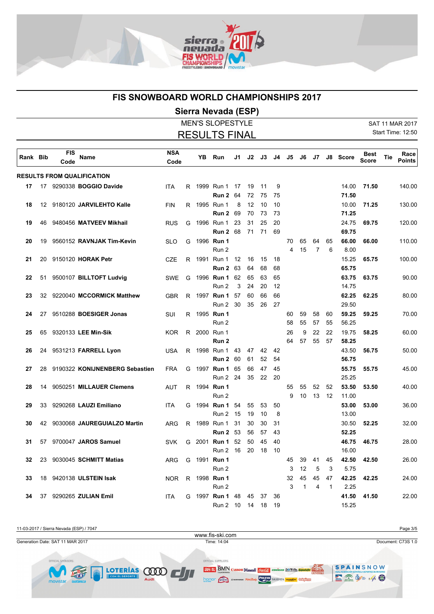

## **FIS SNOWBOARD WORLD CHAMPIONSHIPS 2017**

# **Sierra Nevada (ESP)**

|          |    |            |                                   |            |    |    | <b>MEN'S SLOPESTYLE</b>              |      |          |          |          |    |              |                |      |                |              |     | SAT 11 MAR 2017          |
|----------|----|------------|-----------------------------------|------------|----|----|--------------------------------------|------|----------|----------|----------|----|--------------|----------------|------|----------------|--------------|-----|--------------------------|
|          |    |            |                                   |            |    |    | <b>RESULTS FINAL</b>                 |      |          |          |          |    |              |                |      |                |              |     | <b>Start Time: 12:50</b> |
|          |    | <b>FIS</b> |                                   | <b>NSA</b> |    |    |                                      |      |          |          |          |    |              |                |      |                | <b>Best</b>  |     | Race                     |
| Rank Bib |    | Code       | Name                              | Code       |    | YB | Run                                  | J1 I | J2       | J3       | J4       | J5 | J6           | J7             | J8 I | Score          | <b>Score</b> | Tie | <b>Points</b>            |
|          |    |            | <b>RESULTS FROM QUALIFICATION</b> |            |    |    |                                      |      |          |          |          |    |              |                |      |                |              |     |                          |
| 17       |    |            | 17 9290338 <b>BOGGIO Davide</b>   | <b>ITA</b> |    |    | R 1999 Run 1                         | 17   | 19       | 11       | 9        |    |              |                |      | 14.00          | 71.50        |     | 140.00                   |
|          |    |            |                                   |            |    |    | <b>Run 2 64</b>                      |      | 72       | -75      | 75       |    |              |                |      | 71.50          |              |     |                          |
| 18       |    |            | 12 9180120 JARVILEHTO Kalle       | <b>FIN</b> |    |    | R 1995 Run 1                         | 8    | 12       | 10       | 10       |    |              |                |      | 10.00          | 71.25        |     | 130.00                   |
|          |    |            |                                   |            |    |    | Run 2                                | 69   | 70       | 73       | 73       |    |              |                |      | 71.25          |              |     |                          |
| 19       | 46 |            | 9480456 MATVEEV Mikhail           | <b>RUS</b> | G  |    | 1996 Run 1                           | 23   | 31       | 25       | 20       |    |              |                |      | 24.75          | 69.75        |     | 120.00                   |
|          |    |            |                                   |            |    |    | <b>Run 2 68</b>                      |      | 71       | 71       | 69       |    |              |                |      | 69.75          |              |     |                          |
| 20       | 19 |            | 9560152 RAVNJAK Tim-Kevin         | <b>SLO</b> | G  |    | 1996 <b>Run 1</b>                    |      |          |          |          | 70 | 65           | 64             | 65   | 66.00          | 66.00        |     | 110.00                   |
|          |    |            |                                   |            |    |    | Run 2                                |      |          |          |          | 4  | 15           | $\overline{7}$ | 6    | 8.00           |              |     |                          |
| 21       | 20 |            | 9150120 <b>HORAK Petr</b>         | <b>CZE</b> | R  |    | 1991 Run 1 12                        |      | 16       | -15      | 18       |    |              |                |      | 15.25          | 65.75        |     | 100.00                   |
|          | 51 |            |                                   |            |    |    | <b>Run 2 63</b><br>1996 <b>Run 1</b> | 62   | 64<br>65 | 68<br>63 | 68<br>65 |    |              |                |      | 65.75<br>63.75 | 63.75        |     | 90.00                    |
| 22       |    |            | 9500107 BILLTOFT Ludvig           | <b>SWE</b> | G  |    | Run 2                                | 3    | 24       | 20       | 12       |    |              |                |      | 14.75          |              |     |                          |
| 23       | 32 |            | 9220040 MCCORMICK Matthew         | <b>GBR</b> | R  |    | 1997 <b>Run 1</b>                    | 57   | 60       | 66       | 66       |    |              |                |      | 62.25          | 62.25        |     | 80.00                    |
|          |    |            |                                   |            |    |    | Run 2 30                             |      | 35       | 26       | -27      |    |              |                |      | 29.50          |              |     |                          |
| 24       | 27 |            | 9510288 BOESIGER Jonas            | SUI        |    |    | R 1995 Run 1                         |      |          |          |          | 60 | 59           | 58             | 60   | 59.25          | 59.25        |     | 70.00                    |
|          |    |            |                                   |            |    |    | Run 2                                |      |          |          |          | 58 | 55           | 57             | 55   | 56.25          |              |     |                          |
| 25       | 65 |            | 9320133 LEE Min-Sik               | <b>KOR</b> | R  |    | 2000 Run 1                           |      |          |          |          | 26 | 9            | 22             | 22   | 19.75          | 58.25        |     | 60.00                    |
|          |    |            |                                   |            |    |    | Run 2                                |      |          |          |          | 64 | 57           | 55             | -57  | 58.25          |              |     |                          |
| 26       | 24 |            | 9531213 FARRELL Lyon              | <b>USA</b> | R  |    | 1998 Run 1                           | 43   | 47       | 42       | 42       |    |              |                |      | 43.50          | 56.75        |     | 50.00                    |
|          |    |            |                                   |            |    |    | Run 2                                | -60  | 61       | 52       | 54       |    |              |                |      | 56.75          |              |     |                          |
| 27       | 28 |            | 9190322 KONIJNENBERG Sebastien    | <b>FRA</b> | G  |    | 1997 <b>Run 1</b>                    | 65   | 66       | 47       | 45       |    |              |                |      | 55.75          | 55.75        |     | 45.00                    |
|          |    |            |                                   |            |    |    | Run 2 24                             |      | 35       | 22       | -20      |    |              |                |      | 25.25          |              |     |                          |
| 28       | 14 |            | 9050251 MILLAUER Clemens          | AUT        | R  |    | 1994 <b>Run 1</b>                    |      |          |          |          | 55 | 55           | 52             | 52   | 53.50          | 53.50        |     | 40.00                    |
|          |    |            |                                   |            |    |    | Run 2                                |      |          |          |          | 9  | 10           | 13             | 12   | 11.00          |              |     |                          |
| 29       | 33 |            | 9290268 LAUZI Emiliano            | <b>ITA</b> | G. |    | 1994 <b>Run 1</b> 54                 |      | 55       | 53       | 50       |    |              |                |      | 53.00          | 53.00        |     | 36.00                    |
|          |    |            |                                   |            |    |    | Run 2 15                             |      | 19       | 10       | 8        |    |              |                |      | 13.00          |              |     |                          |
| 30       | 42 |            | 9030068 JAUREGUIALZO Martin       | ARG        |    |    | R 1989 Run 1                         | 31   | 30       | 30       | 31       |    |              |                |      | 30.50          | 52.25        |     | 32.00                    |
|          |    |            |                                   |            |    |    | <b>Run 2</b> 53                      |      | 56       | 57       | 43       |    |              |                |      | 52.25          |              |     |                          |
| 31       |    |            | 57 9700047 JAROS Samuel           | <b>SVK</b> |    |    | G 2001 <b>Run 1</b> 52               |      | 50       | 45       | 40       |    |              |                |      | 46.75<br>16.00 | 46.75        |     | 28.00                    |
| 32       |    |            | 23 9030045 SCHMITT Matias         | ARG        |    |    | Run 2 16 20 18 10<br>G 1991 Run 1    |      |          |          |          | 45 | 39           | 41             | 45   | 42.50          | 42.50        |     | 26.00                    |
|          |    |            |                                   |            |    |    | Run 2                                |      |          |          |          | 3  | 12           | 5              | 3    | 5.75           |              |     |                          |
| 33       |    |            | 18 9420138 ULSTEIN Isak           | NOR.       |    |    | R 1998 Run 1                         |      |          |          |          | 32 | 45           | 45             | 47   | 42.25          | 42.25        |     | 24.00                    |
|          |    |            |                                   |            |    |    | Run 2                                |      |          |          |          | 3  | $\mathbf{1}$ | 4              | 1    | 2.25           |              |     |                          |
| 34       |    |            | 37 9290265 ZULIAN Emil            | <b>ITA</b> |    |    | G 1997 Run 1 48                      |      |          | 45 37 36 |          |    |              |                |      |                | 41.50 41.50  |     | 22.00                    |
|          |    |            |                                   |            |    |    | Run 2 10 14 18 19                    |      |          |          |          |    |              |                |      | 15.25          |              |     |                          |

11-03-2017 / Sierra Nevada (ESP) / 7047 Page 3/5 www.fis-ski.comGeneration Date: SAT 11 MAR 2017 Time: 14:04 Document: C73S 1.0 OFFICIAL S OFFICIAL SUPPLIERS: LOTERÍAS **QUOD** SPAINSNOW **2SIS:** BMN Canon Gash *Galla* Coviran DARED. Expanding **STAR**  $500$ ERV +6 **MONOT Gridon** # world WELL PULEVA SKIDATA WARE CELEBRATE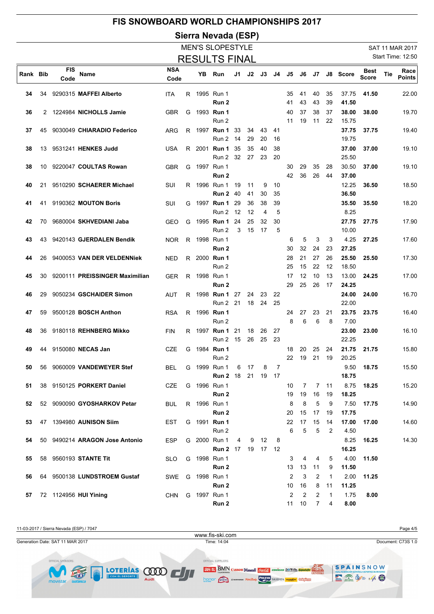|          |          |                    |                                                        |                          |         |    | Sierra Nevada (ESP)                      |           |          |          |          |          |                |                     |                    |                         |                      |     |                       |
|----------|----------|--------------------|--------------------------------------------------------|--------------------------|---------|----|------------------------------------------|-----------|----------|----------|----------|----------|----------------|---------------------|--------------------|-------------------------|----------------------|-----|-----------------------|
|          |          |                    |                                                        |                          |         |    | <b>MEN'S SLOPESTYLE</b>                  |           |          |          |          |          |                |                     |                    |                         |                      |     | SAT 11 MAR 2017       |
|          |          |                    |                                                        |                          |         |    | <b>RESULTS FINAL</b>                     |           |          |          |          |          |                |                     |                    |                         |                      |     | Start Time: 12:50     |
| Rank Bib |          | <b>FIS</b><br>Code | Name                                                   | <b>NSA</b><br>Code       |         | YΒ | Run                                      | J1 I      | J2       | J3       | J4       | J5       | J6             | J7                  |                    | J8 Score                | Best<br><b>Score</b> | Tie | Race<br><b>Points</b> |
| 34       | 34       |                    | 9290315 MAFFEI Alberto                                 | <b>ITA</b>               |         |    | R 1995 Run 1<br>Run 2                    |           |          |          |          | 35<br>41 | 41<br>43       | 40<br>43            | 35<br>39           | 37.75<br>41.50          | 41.50                |     | 22.00                 |
| 36       |          |                    | 2 1224984 NICHOLLS Jamie                               | <b>GBR</b>               | G       |    | 1993 <b>Run 1</b><br>Run 2               |           |          |          |          | 40<br>11 | 37<br>19       | 38<br>11            | 37<br>22           | 38.00<br>15.75          | 38.00                |     | 19.70                 |
| 37       | 45       |                    | 9030049 CHIARADIO Federico                             | ARG                      |         |    | R 1997 <b>Run 1</b><br>Run 2             | 33<br>-14 | 34<br>29 | 43<br>20 | 41<br>16 |          |                |                     |                    | 37.75<br>19.75          | 37.75                |     | 19.40                 |
| 38       | 13       |                    | 9531241 HENKES Judd                                    | <b>USA</b>               |         |    | R 2001 <b>Run 1</b><br>Run 2 32          | 35        | 35<br>27 | 40<br>23 | 38<br>20 |          |                |                     |                    | 37.00<br>25.50          | 37.00                |     | 19.10                 |
| 38       | 10       |                    | 9220047 COULTAS Rowan                                  | <b>GBR</b>               | G       |    | 1997 Run 1<br>Run 2                      |           |          |          |          | 30<br>42 | 29<br>36       | 35<br>26            | 28<br>44           | 30.50<br>37.00          | 37.00                |     | 19.10                 |
| 40       | 21       |                    | 9510290 SCHAERER Michael                               | SUI                      | R       |    | 1996 Run 1<br>Run 2                      | 19<br>-40 | 11<br>41 | 9<br>30  | 10<br>35 |          |                |                     |                    | 12.25<br>36.50          | 36.50                |     | 18.50                 |
| 41       | 41       |                    | 9190362 MOUTON Boris                                   | SUI                      | G       |    | 1997 <b>Run 1</b><br>Run 2 12            | 29        | 36<br>12 | 38<br>4  | 39<br>5  |          |                |                     |                    | 35.50<br>8.25           | 35.50                |     | 18.20                 |
| 42       | 70       |                    | 9680004 SKHVEDIANI Jaba                                | GEO                      | G       |    | 1995 <b>Run 1</b><br>Run 2               | 24<br>3   | 25<br>15 | 32<br>17 | 30<br>5  |          |                |                     |                    | 27.75<br>10.00          | 27.75                |     | 17.90                 |
| 43       | 43       |                    | 9420143 GJERDALEN Bendik                               | <b>NOR</b>               |         |    | R 1998 Run 1<br>Run 2                    |           |          |          |          | 6<br>30  | 5<br>32        | 3<br>24             | 3<br>23            | 4.25<br>27.25           | 27.25                |     | 17.60                 |
| 44       | 26       |                    | 9400053 VAN DER VELDENNiek                             | <b>NED</b>               |         |    | R 2000 Run 1<br>Run 2                    |           |          |          |          | 28<br>25 | 21<br>15       | 27<br>22            | 26<br>12           | 25.50<br>18.50          | 25.50                |     | 17.30                 |
| 45       | 30       |                    | 9200111 PREISSINGER Maximilian                         | <b>GER</b>               |         |    | R 1998 Run 1<br>Run 2                    |           |          |          |          | 17<br>29 | 12<br>25       | 10<br>26            | 13<br>17           | 13.00<br>24.25          | 24.25                |     | 17.00                 |
| 46<br>47 | 29<br>59 |                    | 9050234 GSCHAIDER Simon<br>9500128 <b>BOSCH Anthon</b> | AUT                      | R       |    | 1998 <b>Run 1</b><br>Run 2<br>1996 Run 1 | 27<br>21  | 24<br>18 | 23<br>24 | 22<br>25 | 24       | 27             | 23                  | 21                 | 24.00<br>22.00<br>23.75 | 24.00<br>23.75       |     | 16.70<br>16.40        |
| 48       | 36       |                    | 9180118 REHNBERG Mikko                                 | <b>RSA</b><br><b>FIN</b> | R.<br>R |    | Run 2<br>1997 Run 1                      | 21        | 18       | 26       | 27       | 8        | 6              | 6                   | 8                  | 7.00<br>23.00           | 23.00                |     | 16.10                 |
| 49       |          |                    | 44 9150080 NECAS Jan                                   | CZE                      |         |    | Run 2 15<br>G 1984 Run 1                 |           | 26       | 25       | 23       | 18       | 20             | 25                  | 24                 | 22.25<br>21.75          | 21.75                |     | 15.80                 |
| 50       |          |                    | 56 9060009 VANDEWEYER Stef                             | <b>BEL</b>               |         |    | Run 2<br>G 1999 Run 1                    | 6         | 17       | 8        | 7        | 22       |                | 19 21               | 19                 | 20.25<br>9.50           | 18.75                |     | 15.50                 |
| 51       |          |                    | 38 9150125 PORKERT Daniel                              | CZE                      |         |    | <b>Run 2 18</b><br>G 1996 Run 1          |           |          | 21 19 17 |          | 10       | $\overline{7}$ |                     | 7, 11              | 18.75<br>8.75           | 18.25                |     | 15.20                 |
| 52       |          |                    | 52 9090090 GYOSHARKOV Petar                            | <b>BUL</b>               |         |    | Run 2<br>R 1996 Run 1                    |           |          |          |          | 19<br>8  | 19<br>8        | 16<br>5             | 19<br>9            | 18.25<br>7.50           | 17.75                |     | 14.90                 |
| 53       |          |                    | 47 1394980 AUNISON Silm                                | EST                      |         |    | Run 2<br>G 1991 Run 1                    |           |          |          |          | 20<br>22 | 15<br>17       | 17<br>15            | 19<br>14           | 17.75<br>17.00          | 17.00                |     | 14.60                 |
| 54       |          |                    | 50 9490214 ARAGON Jose Antonio                         | <b>ESP</b>               |         |    | Run 2<br>G 2000 Run 1                    | 4         | 9        | 12       | 8        | 6        | 5              | 5                   | 2                  | 4.50<br>8.25            | 16.25                |     | 14.30                 |
| 55       |          |                    | 58 9560193 STANTE Tit                                  | <b>SLO</b>               |         |    | <b>Run 2</b> 17<br>G 1998 Run 1<br>Run 2 |           |          |          |          | 3<br>13  | 4<br>13        | 4<br>11             | 5<br>9             | 16.25<br>4.00<br>11.50  | 11.50                |     |                       |
| 56       |          |                    | 64 9500138 LUNDSTROEM Gustaf                           | SWE                      |         |    | G 1998 Run 1<br>Run 2                    |           |          |          |          | 2<br>10  | 3<br>16        | 2<br>8              | $\mathbf{1}$<br>11 | 2.00<br>11.25           | 11.25                |     |                       |
| 57       |          |                    | 72 1124956 HUI Yining                                  |                          |         |    | CHN G 1997 Run 1<br>Run 2                |           |          |          |          | 2        | 2<br>11 10     | 2<br>$\overline{7}$ | $\mathbf{1}$<br>4  | 1.75<br>8.00            | 8.00                 |     |                       |